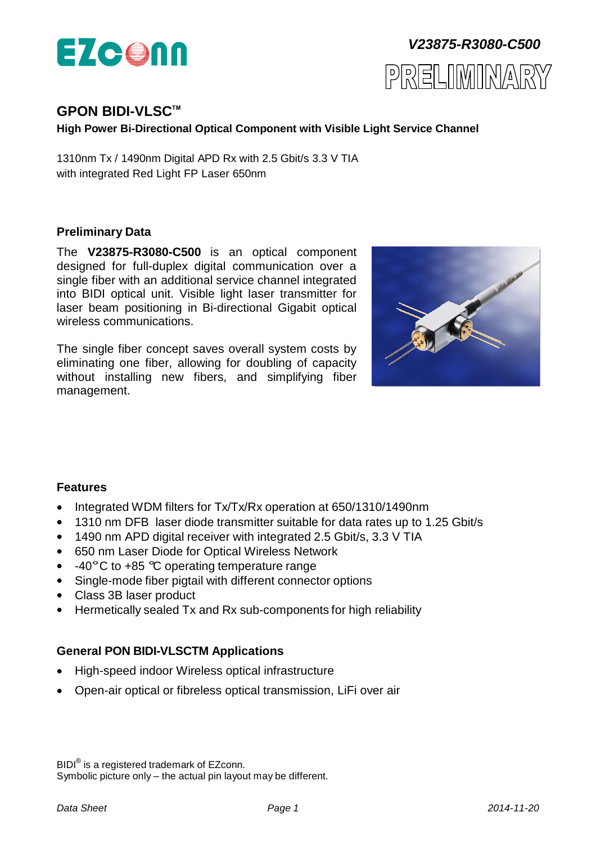



# **GPON BIDI-VLSCTM**

**High Power Bi-Directional Optical Component with Visible Light Service Channel**

1310nm Tx / 1490nm Digital APD Rx with 2.5 Gbit/s 3.3 V TIA with integrated Red Light FP Laser 650nm

#### **Preliminary Data**

The **V23875-R3080-C500** is an optical component designed for full-duplex digital communication over a single fiber with an additional service channel integrated into BIDI optical unit. Visible light laser transmitter for laser beam positioning in Bi-directional Gigabit optical wireless communications.

The single fiber concept saves overall system costs by eliminating one fiber, allowing for doubling of capacity without installing new fibers, and simplifying fiber management.



# **Features**

- Integrated WDM filters for Tx/Tx/Rx operation at 650/1310/1490nm
- 1310 nm DFB laser diode transmitter suitable for data rates up to 1.25 Gbit/s
- 1490 nm APD digital receiver with integrated 2.5 Gbit/s, 3.3 V TIA
- 650 nm Laser Diode for Optical Wireless Network
- $\bullet$  -40°C to +85 °C operating temperature range
- Single-mode fiber pigtail with different connector options
- Class 3B laser product
- Hermetically sealed Tx and Rx sub-components for high reliability

# **General PON BIDI-VLSCTM Applications**

- High-speed indoor Wireless optical infrastructure
- Open-air optical or fibreless optical transmission, LiFi over air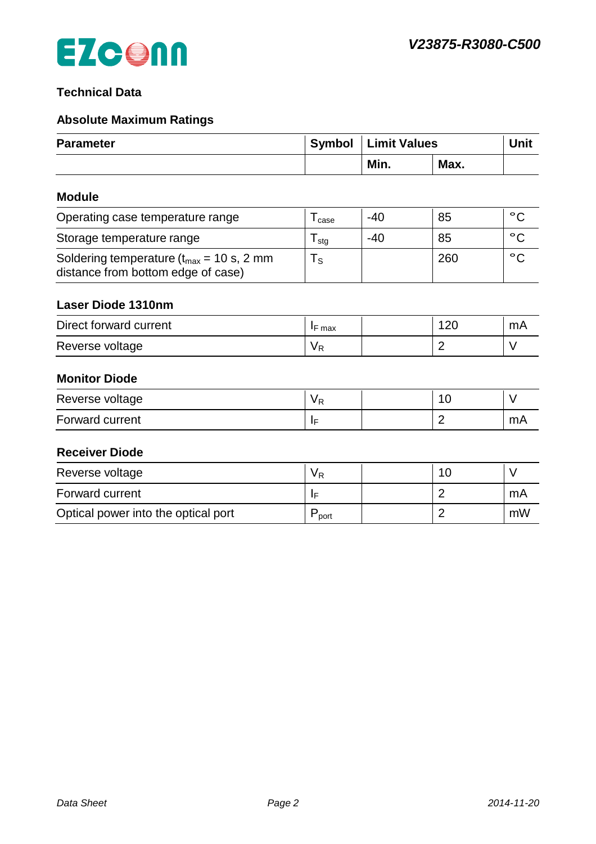# **Technical Data**

# **Absolute Maximum Ratings**

| <b>Parameter</b>                                                                                     | Symbol                       | <b>Limit Values</b> |      | <b>Unit</b>  |
|------------------------------------------------------------------------------------------------------|------------------------------|---------------------|------|--------------|
|                                                                                                      |                              | Min.                | Max. |              |
| <b>Module</b>                                                                                        |                              |                     |      |              |
| Operating case temperature range                                                                     | ${\mathsf T}_{\text{case}}$  | $-40$               | 85   | $^{\circ}$ C |
| Storage temperature range                                                                            | ${\mathsf T}_{\textsf{stg}}$ | $-40$               | 85   | $^{\circ}$ C |
| Soldering temperature $(t_{max} = 10 \text{ s}, 2 \text{ mm})$<br>distance from bottom edge of case) | $T_{\rm S}$                  |                     | 260  | $^{\circ}$ C |
| <b>Laser Diode 1310nm</b>                                                                            |                              |                     |      |              |
| Direct forward current                                                                               | $I$ F max                    |                     | 120  | mA           |

# Reverse voltage  $\vert V_R \vert$   $\vert V_R \vert$   $\vert$  2  $\vert$  V

# **Monitor Diode**

| Reverse voltage | $\cdot$ |  |    |
|-----------------|---------|--|----|
| Forward current |         |  | mA |

### **Receiver Diode**

| Reverse voltage                     | V R  |  |    |
|-------------------------------------|------|--|----|
| Forward current                     |      |  | mA |
| Optical power into the optical port | port |  | mW |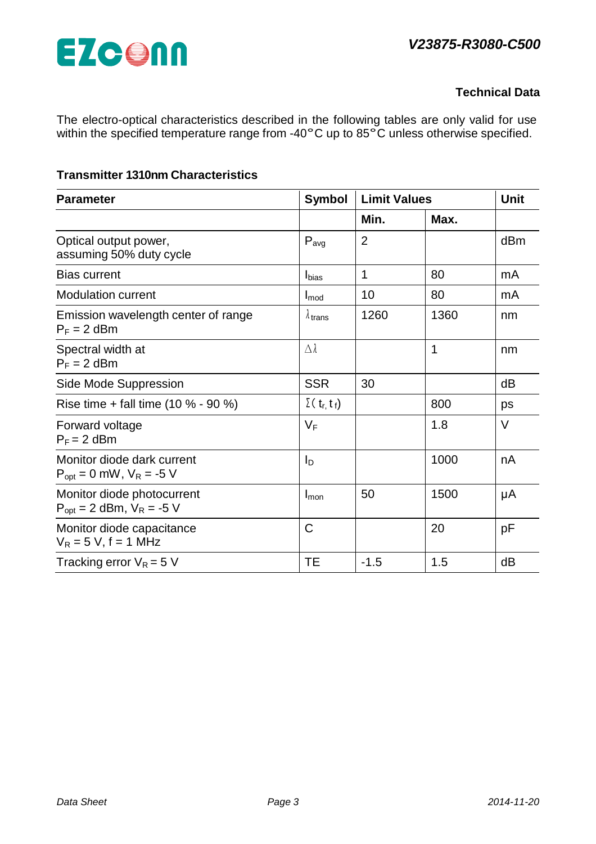# *V23875-R3080-C500*



# **Technical Data**

The electro-optical characteristics described in the following tables are only valid for use within the specified temperature range from -40°C up to 85°C unless otherwise specified.

# **Transmitter 1310nm Characteristics**

| <b>Symbol</b><br><b>Parameter</b>                             |                        | <b>Limit Values</b> |      | <b>Unit</b> |
|---------------------------------------------------------------|------------------------|---------------------|------|-------------|
|                                                               |                        | Min.                | Max. |             |
| Optical output power,<br>assuming 50% duty cycle              | $P_{avg}$              | $\overline{2}$      |      | dBm         |
| <b>Bias current</b>                                           | <b>I</b> bias          | 1                   | 80   | mA          |
| <b>Modulation current</b>                                     | $I_{mod}$              | 10                  | 80   | mA          |
| Emission wavelength center of range<br>$P_F = 2$ dBm          | $\lambda$ trans        | 1260                | 1360 | nm          |
| Spectral width at<br>$P_F = 2$ dBm                            | $\Delta\lambda$        |                     | 1    | nm          |
| Side Mode Suppression                                         | <b>SSR</b>             | 30                  |      | dB          |
| Rise time + fall time $(10 % - 90 %)$                         | $\Sigma(t_{r, t_{f}})$ |                     | 800  | ps          |
| Forward voltage<br>$P_F = 2$ dBm                              | $V_F$                  |                     | 1.8  | $\vee$      |
| Monitor diode dark current<br>$P_{opt} = 0$ mW, $V_R = -5$ V  | I <sub>D</sub>         |                     | 1000 | nA          |
| Monitor diode photocurrent<br>$P_{opt}$ = 2 dBm, $V_R$ = -5 V | Imon                   | 50                  | 1500 | μA          |
| Monitor diode capacitance<br>$V_R$ = 5 V, f = 1 MHz           | C                      |                     | 20   | рF          |
| Tracking error $V_R = 5 V$                                    | <b>TE</b>              | $-1.5$              | 1.5  | dB          |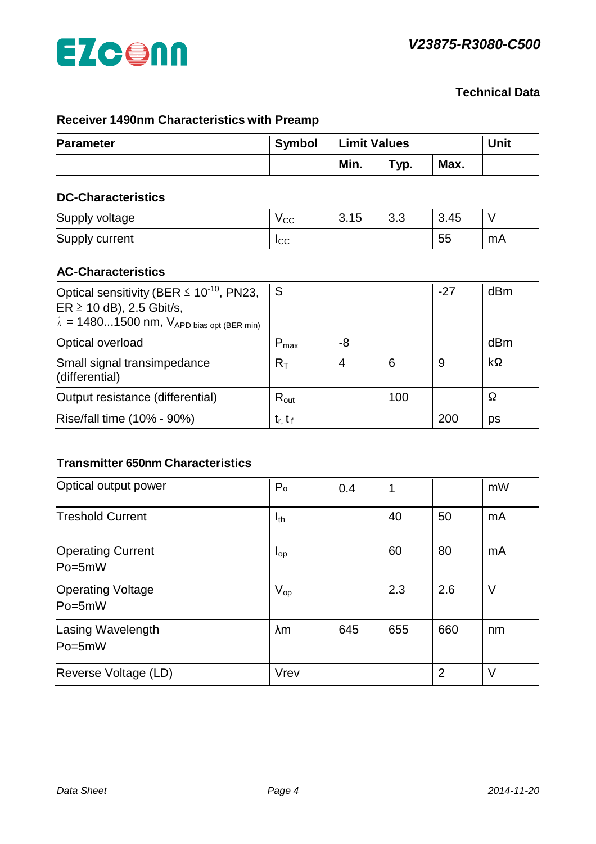

# **Technical Data**

# **Receiver 1490nm Characteristics with Preamp**

| <b>Parameter</b>                                                                                                                                  | Symbol           |                | <b>Limit Values</b> |       |           |
|---------------------------------------------------------------------------------------------------------------------------------------------------|------------------|----------------|---------------------|-------|-----------|
|                                                                                                                                                   |                  | Min.           | Typ.                | Max.  |           |
| <b>DC-Characteristics</b>                                                                                                                         |                  |                |                     |       |           |
| Supply voltage                                                                                                                                    | $V_{CC}$         | 3.15           | 3.3                 | 3.45  | V         |
| Supply current                                                                                                                                    | $I_{\rm CC}$     |                |                     | 55    | mA        |
| <b>AC-Characteristics</b>                                                                                                                         |                  |                |                     |       |           |
| Optical sensitivity (BER $\leq 10^{-10}$ , PN23,<br>$ER \ge 10$ dB), 2.5 Gbit/s,<br>$\lambda = 14801500$ nm, $V_{APD \text{ bias opt (BER min)}}$ | S                |                |                     | $-27$ | dBm       |
| Optical overload                                                                                                                                  | $P_{\text{max}}$ | -8             |                     |       | dBm       |
| Small signal transimpedance                                                                                                                       | $R_T$            | $\overline{4}$ | 6                   | 9     | $k\Omega$ |

Output resistance (differential)  $\begin{vmatrix} R_{out} \\ 100 \end{vmatrix}$  100  $\begin{vmatrix} \Omega \\ \end{vmatrix}$ 

Rise/fall time (10% - 90%) tr, t <sup>f</sup> 200 ps

#### **Transmitter 650nm Characteristics**

(differential)

| Optical output power                   | P <sub>o</sub>  | 0.4 | 1   |                | mW |
|----------------------------------------|-----------------|-----|-----|----------------|----|
| <b>Treshold Current</b>                | $I_{th}$        |     | 40  | 50             | mA |
| <b>Operating Current</b><br>$Po = 5mW$ | $I_{\text{op}}$ |     | 60  | 80             | mA |
| <b>Operating Voltage</b><br>Po=5mW     | $V_{op}$        |     | 2.3 | 2.6            | V  |
| Lasing Wavelength<br>Po=5mW            | $\lambda$ m     | 645 | 655 | 660            | nm |
| Reverse Voltage (LD)                   | Vrev            |     |     | $\overline{2}$ | V  |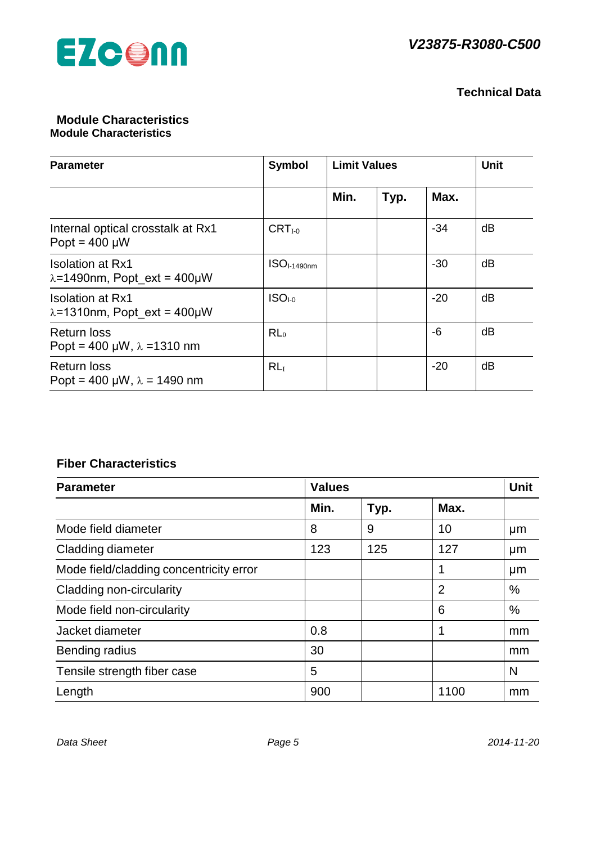

# **Technical Data**

#### **Module Characteristics Module Characteristics**

| <b>Parameter</b>                                                 | Symbol                | <b>Limit Values</b> |      |       | <b>Unit</b> |
|------------------------------------------------------------------|-----------------------|---------------------|------|-------|-------------|
|                                                                  |                       | Min.                | Typ. | Max.  |             |
| Internal optical crosstalk at Rx1<br>Popt = $400 \mu W$          | $CRTI-0$              |                     |      | -34   | dB          |
| <b>Isolation at Rx1</b><br>$\lambda = 1490$ nm, Popt_ext = 400µW | ISO <sub>1490nm</sub> |                     |      | $-30$ | dB          |
| <b>Isolation at Rx1</b><br>$\lambda$ =1310nm, Popt ext = 400µW   | $ISO1-0$              |                     |      | $-20$ | dB          |
| <b>Return loss</b><br>Popt = 400 µW, $\lambda$ = 1310 nm         | RL <sub>0</sub>       |                     |      | -6    | dB          |
| <b>Return loss</b><br>Popt = 400 µW, $\lambda$ = 1490 nm         | RL <sub>I</sub>       |                     |      | $-20$ | dB          |

# **Fiber Characteristics**

| <b>Parameter</b>                        | <b>Values</b> | <b>Unit</b> |                |    |
|-----------------------------------------|---------------|-------------|----------------|----|
|                                         | Min.          | Typ.        | Max.           |    |
| Mode field diameter                     | 8             | 9           | 10             | μm |
| Cladding diameter                       | 123           | 125         | 127            | µm |
| Mode field/cladding concentricity error |               |             | 1              | µm |
| Cladding non-circularity                |               |             | $\overline{2}$ | %  |
| Mode field non-circularity              |               |             | 6              | %  |
| Jacket diameter                         | 0.8           |             |                | mm |
| <b>Bending radius</b>                   | 30            |             |                | mm |
| Tensile strength fiber case             | 5             |             |                | N  |
| Length                                  | 900           |             | 1100           | mm |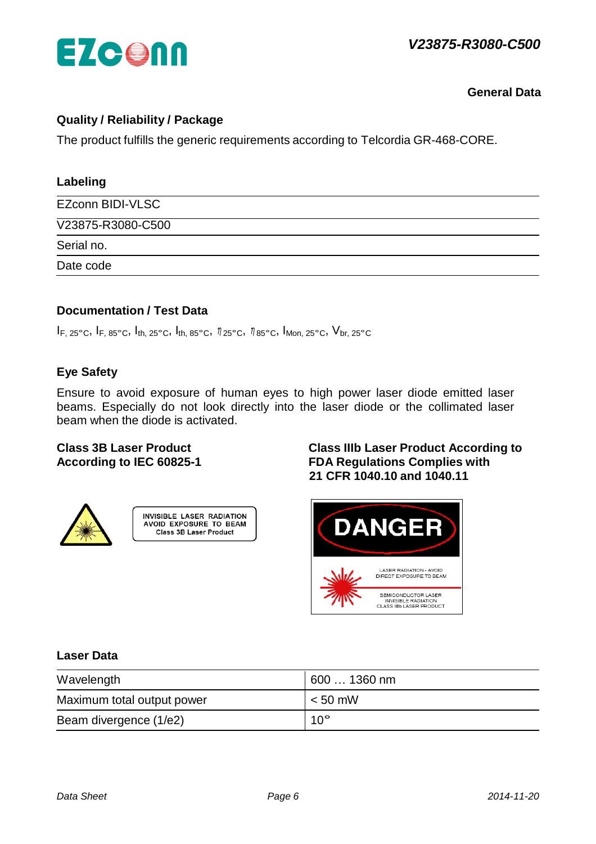

**General Data**

# **Quality / Reliability / Package**

The product fulfills the generic requirements according to Telcordia GR-468-CORE.

| Labeling          |  |
|-------------------|--|
| EZconn BIDI-VLSC  |  |
| V23875-R3080-C500 |  |
| Serial no.        |  |
| Date code         |  |
|                   |  |

### **Documentation / Test Data**

 $I_{F, 25\degree}$ C,  $I_{F, 85\degree}$ C,  $I_{th, 25\degree}$ C,  $I_{th, 85\degree}$ C,  $\eta_{25\degree}$ C,  $\eta_{85\degree}$ C,  $I_{Mon, 25\degree}$ C,  $V_{br, 25\degree}$ C

# **Eye Safety**

Ensure to avoid exposure of human eyes to high power laser diode emitted laser beams. Especially do not look directly into the laser diode or the collimated laser beam when the diode is activated.





# **Class 3B Laser Product Class IIIb Laser Product According to According to IEC 60825-1 FDA Regulations Complies with 21 CFR 1040.10 and 1040.11**



### **Laser Data**

| Wavelength                 | 600 … 1360 nm |
|----------------------------|---------------|
| Maximum total output power | $< 50$ mW     |
| Beam divergence (1/e2)     | $10^{\circ}$  |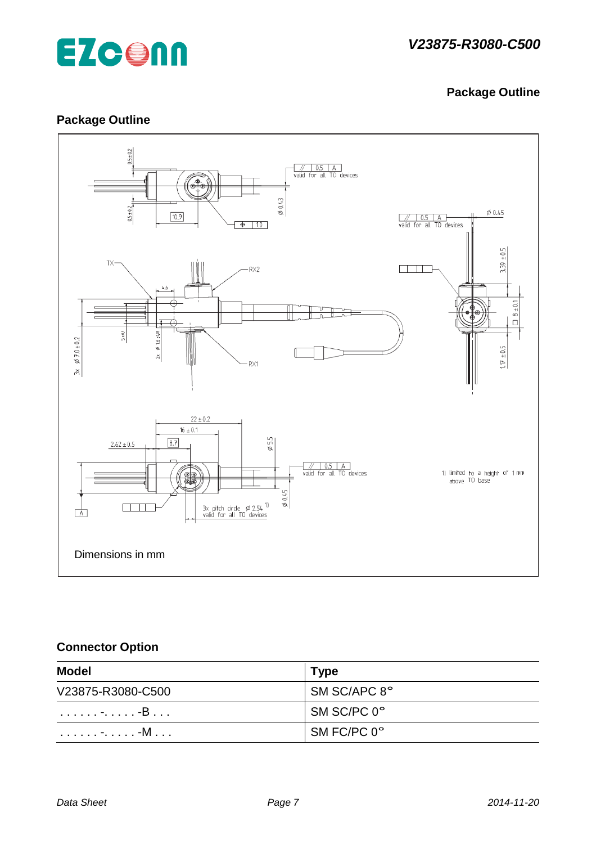

# **Package Outline**

# **Package Outline**



# **Connector Option**

| <b>Model</b>      | <b>Type</b>  |
|-------------------|--------------|
| V23875-R3080-C500 | SM SC/APC 8° |
| . <del>.</del> -B | SM SC/PC 0°  |
| . -. -M           | SM FC/PC 0°  |